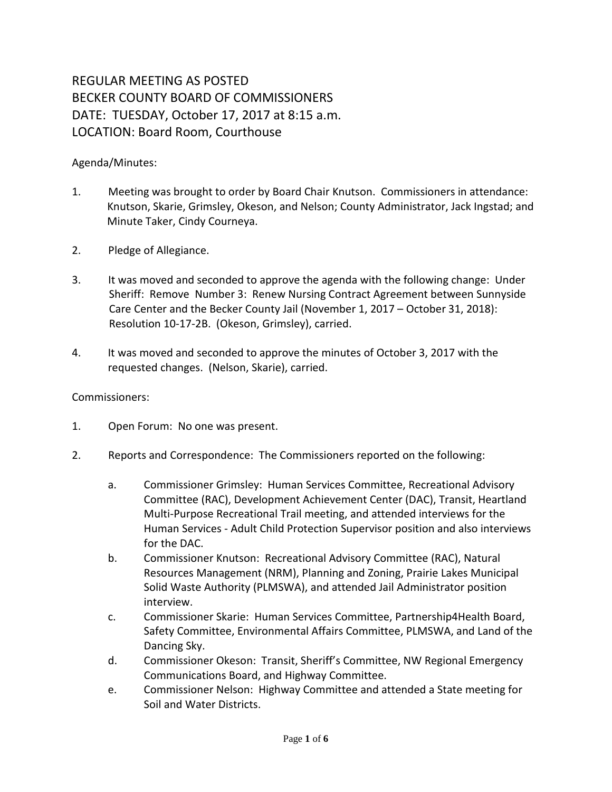# REGULAR MEETING AS POSTED BECKER COUNTY BOARD OF COMMISSIONERS DATE: TUESDAY, October 17, 2017 at 8:15 a.m. LOCATION: Board Room, Courthouse

# Agenda/Minutes:

- 1. Meeting was brought to order by Board Chair Knutson. Commissioners in attendance: Knutson, Skarie, Grimsley, Okeson, and Nelson; County Administrator, Jack Ingstad; and Minute Taker, Cindy Courneya.
- 2. Pledge of Allegiance.
- 3. It was moved and seconded to approve the agenda with the following change: Under Sheriff: Remove Number 3: Renew Nursing Contract Agreement between Sunnyside Care Center and the Becker County Jail (November 1, 2017 – October 31, 2018): Resolution 10-17-2B. (Okeson, Grimsley), carried.
- 4. It was moved and seconded to approve the minutes of October 3, 2017 with the requested changes. (Nelson, Skarie), carried.

#### Commissioners:

- 1. Open Forum: No one was present.
- 2. Reports and Correspondence: The Commissioners reported on the following:
	- a. Commissioner Grimsley: Human Services Committee, Recreational Advisory Committee (RAC), Development Achievement Center (DAC), Transit, Heartland Multi-Purpose Recreational Trail meeting, and attended interviews for the Human Services - Adult Child Protection Supervisor position and also interviews for the DAC.
	- b. Commissioner Knutson: Recreational Advisory Committee (RAC), Natural Resources Management (NRM), Planning and Zoning, Prairie Lakes Municipal Solid Waste Authority (PLMSWA), and attended Jail Administrator position interview.
	- c. Commissioner Skarie: Human Services Committee, Partnership4Health Board, Safety Committee, Environmental Affairs Committee, PLMSWA, and Land of the Dancing Sky.
	- d. Commissioner Okeson: Transit, Sheriff's Committee, NW Regional Emergency Communications Board, and Highway Committee.
	- e. Commissioner Nelson: Highway Committee and attended a State meeting for Soil and Water Districts.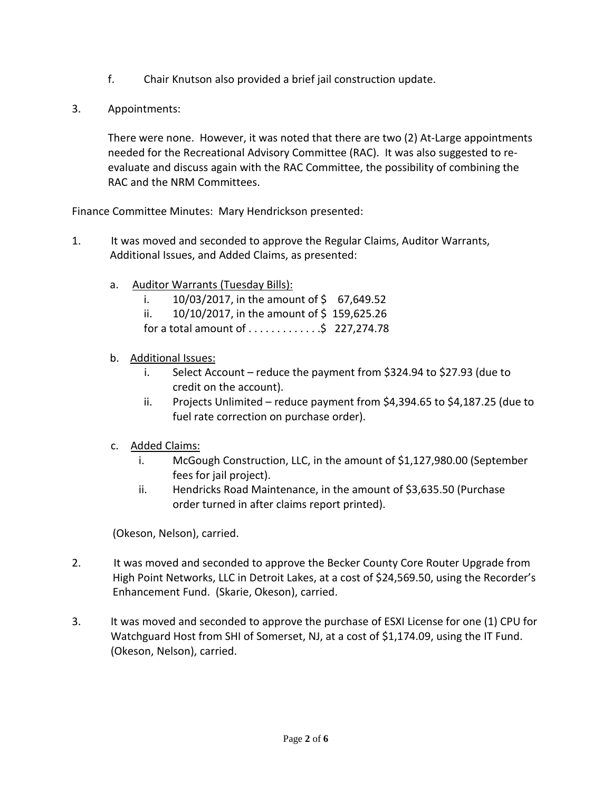- f. Chair Knutson also provided a brief jail construction update.
- 3. Appointments:

There were none. However, it was noted that there are two (2) At-Large appointments needed for the Recreational Advisory Committee (RAC). It was also suggested to reevaluate and discuss again with the RAC Committee, the possibility of combining the RAC and the NRM Committees.

Finance Committee Minutes: Mary Hendrickson presented:

- 1. It was moved and seconded to approve the Regular Claims, Auditor Warrants, Additional Issues, and Added Claims, as presented:
	- a. Auditor Warrants (Tuesday Bills):
		- i.  $10/03/2017$ , in the amount of \$ 67,649.52
		- ii.  $10/10/2017$ , in the amount of \$159,625.26
		- for a total amount of  $\dots \dots \dots$ ;  $\frac{5}{7}$  227,274.78

## b. Additional Issues:

- i. Select Account reduce the payment from \$324.94 to \$27.93 (due to credit on the account).
- ii. Projects Unlimited reduce payment from \$4,394.65 to \$4,187.25 (due to fuel rate correction on purchase order).

## c. Added Claims:

- i. McGough Construction, LLC, in the amount of \$1,127,980.00 (September fees for jail project).
- ii. Hendricks Road Maintenance, in the amount of \$3,635.50 (Purchase order turned in after claims report printed).

(Okeson, Nelson), carried.

- 2. It was moved and seconded to approve the Becker County Core Router Upgrade from High Point Networks, LLC in Detroit Lakes, at a cost of \$24,569.50, using the Recorder's Enhancement Fund. (Skarie, Okeson), carried.
- 3. It was moved and seconded to approve the purchase of ESXI License for one (1) CPU for Watchguard Host from SHI of Somerset, NJ, at a cost of \$1,174.09, using the IT Fund. (Okeson, Nelson), carried.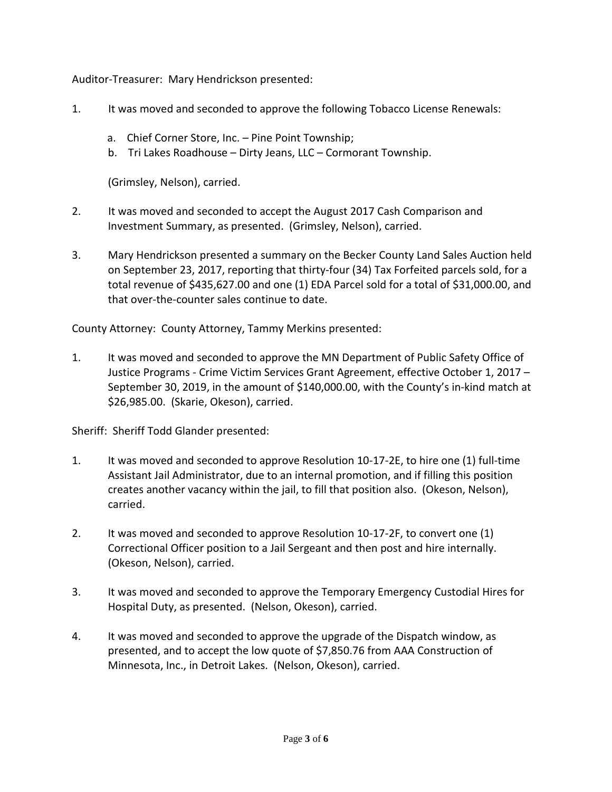Auditor-Treasurer: Mary Hendrickson presented:

- 1. It was moved and seconded to approve the following Tobacco License Renewals:
	- a. Chief Corner Store, Inc. Pine Point Township;
	- b. Tri Lakes Roadhouse Dirty Jeans, LLC Cormorant Township.

(Grimsley, Nelson), carried.

- 2. It was moved and seconded to accept the August 2017 Cash Comparison and Investment Summary, as presented. (Grimsley, Nelson), carried.
- 3. Mary Hendrickson presented a summary on the Becker County Land Sales Auction held on September 23, 2017, reporting that thirty-four (34) Tax Forfeited parcels sold, for a total revenue of \$435,627.00 and one (1) EDA Parcel sold for a total of \$31,000.00, and that over-the-counter sales continue to date.

County Attorney: County Attorney, Tammy Merkins presented:

1. It was moved and seconded to approve the MN Department of Public Safety Office of Justice Programs - Crime Victim Services Grant Agreement, effective October 1, 2017 – September 30, 2019, in the amount of \$140,000.00, with the County's in-kind match at \$26,985.00. (Skarie, Okeson), carried.

Sheriff: Sheriff Todd Glander presented:

- 1. It was moved and seconded to approve Resolution 10-17-2E, to hire one (1) full-time Assistant Jail Administrator, due to an internal promotion, and if filling this position creates another vacancy within the jail, to fill that position also. (Okeson, Nelson), carried.
- 2. It was moved and seconded to approve Resolution 10-17-2F, to convert one (1) Correctional Officer position to a Jail Sergeant and then post and hire internally. (Okeson, Nelson), carried.
- 3. It was moved and seconded to approve the Temporary Emergency Custodial Hires for Hospital Duty, as presented. (Nelson, Okeson), carried.
- 4. It was moved and seconded to approve the upgrade of the Dispatch window, as presented, and to accept the low quote of \$7,850.76 from AAA Construction of Minnesota, Inc., in Detroit Lakes. (Nelson, Okeson), carried.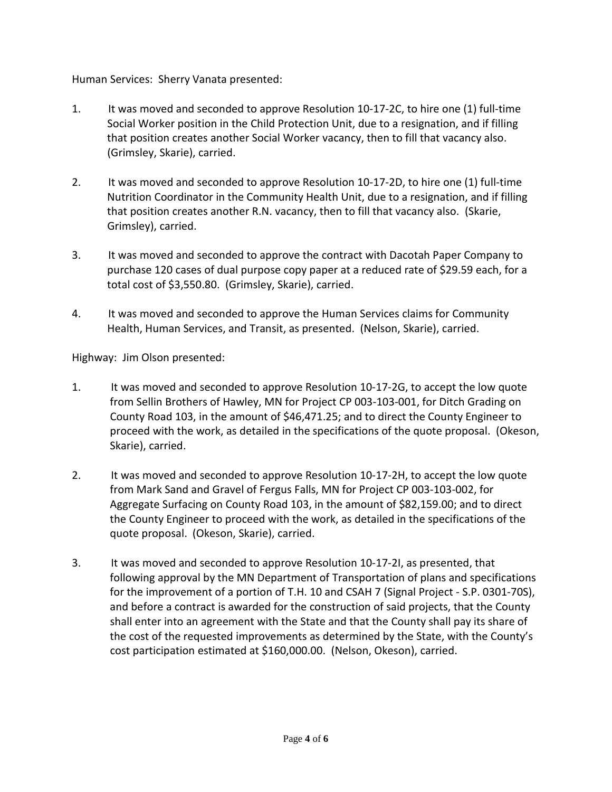Human Services: Sherry Vanata presented:

- 1. It was moved and seconded to approve Resolution 10-17-2C, to hire one (1) full-time Social Worker position in the Child Protection Unit, due to a resignation, and if filling that position creates another Social Worker vacancy, then to fill that vacancy also. (Grimsley, Skarie), carried.
- 2. It was moved and seconded to approve Resolution 10-17-2D, to hire one (1) full-time Nutrition Coordinator in the Community Health Unit, due to a resignation, and if filling that position creates another R.N. vacancy, then to fill that vacancy also. (Skarie, Grimsley), carried.
- 3. It was moved and seconded to approve the contract with Dacotah Paper Company to purchase 120 cases of dual purpose copy paper at a reduced rate of \$29.59 each, for a total cost of \$3,550.80. (Grimsley, Skarie), carried.
- 4. It was moved and seconded to approve the Human Services claims for Community Health, Human Services, and Transit, as presented. (Nelson, Skarie), carried.

Highway: Jim Olson presented:

- 1. It was moved and seconded to approve Resolution 10-17-2G, to accept the low quote from Sellin Brothers of Hawley, MN for Project CP 003-103-001, for Ditch Grading on County Road 103, in the amount of \$46,471.25; and to direct the County Engineer to proceed with the work, as detailed in the specifications of the quote proposal. (Okeson, Skarie), carried.
- 2. It was moved and seconded to approve Resolution 10-17-2H, to accept the low quote from Mark Sand and Gravel of Fergus Falls, MN for Project CP 003-103-002, for Aggregate Surfacing on County Road 103, in the amount of \$82,159.00; and to direct the County Engineer to proceed with the work, as detailed in the specifications of the quote proposal. (Okeson, Skarie), carried.
- 3. It was moved and seconded to approve Resolution 10-17-2I, as presented, that following approval by the MN Department of Transportation of plans and specifications for the improvement of a portion of T.H. 10 and CSAH 7 (Signal Project - S.P. 0301-70S), and before a contract is awarded for the construction of said projects, that the County shall enter into an agreement with the State and that the County shall pay its share of the cost of the requested improvements as determined by the State, with the County's cost participation estimated at \$160,000.00. (Nelson, Okeson), carried.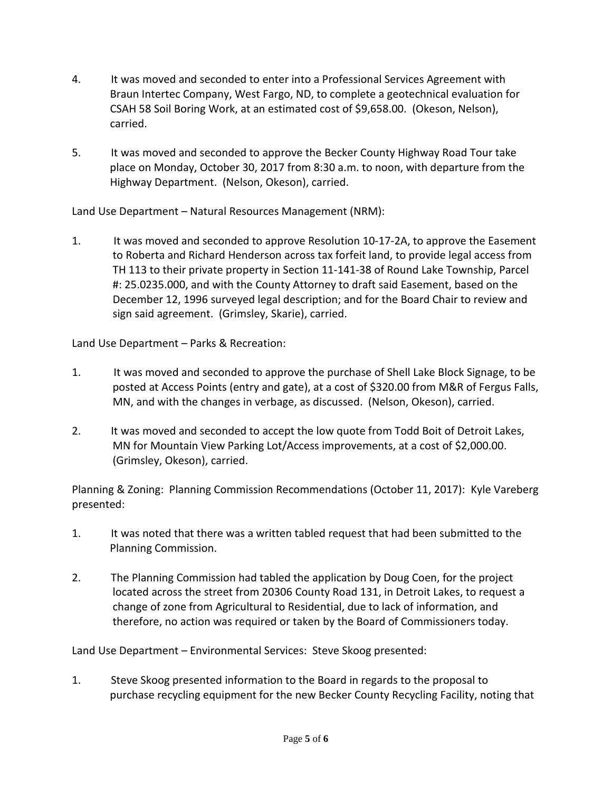- 4. It was moved and seconded to enter into a Professional Services Agreement with Braun Intertec Company, West Fargo, ND, to complete a geotechnical evaluation for CSAH 58 Soil Boring Work, at an estimated cost of \$9,658.00. (Okeson, Nelson), carried.
- 5. It was moved and seconded to approve the Becker County Highway Road Tour take place on Monday, October 30, 2017 from 8:30 a.m. to noon, with departure from the Highway Department. (Nelson, Okeson), carried.

Land Use Department – Natural Resources Management (NRM):

1. It was moved and seconded to approve Resolution 10-17-2A, to approve the Easement to Roberta and Richard Henderson across tax forfeit land, to provide legal access from TH 113 to their private property in Section 11-141-38 of Round Lake Township, Parcel #: 25.0235.000, and with the County Attorney to draft said Easement, based on the December 12, 1996 surveyed legal description; and for the Board Chair to review and sign said agreement. (Grimsley, Skarie), carried.

Land Use Department – Parks & Recreation:

- 1. It was moved and seconded to approve the purchase of Shell Lake Block Signage, to be posted at Access Points (entry and gate), at a cost of \$320.00 from M&R of Fergus Falls, MN, and with the changes in verbage, as discussed. (Nelson, Okeson), carried.
- 2. It was moved and seconded to accept the low quote from Todd Boit of Detroit Lakes, MN for Mountain View Parking Lot/Access improvements, at a cost of \$2,000.00. (Grimsley, Okeson), carried.

Planning & Zoning: Planning Commission Recommendations (October 11, 2017): Kyle Vareberg presented:

- 1. It was noted that there was a written tabled request that had been submitted to the Planning Commission.
- 2. The Planning Commission had tabled the application by Doug Coen, for the project located across the street from 20306 County Road 131, in Detroit Lakes, to request a change of zone from Agricultural to Residential, due to lack of information, and therefore, no action was required or taken by the Board of Commissioners today.

Land Use Department – Environmental Services: Steve Skoog presented:

1. Steve Skoog presented information to the Board in regards to the proposal to purchase recycling equipment for the new Becker County Recycling Facility, noting that